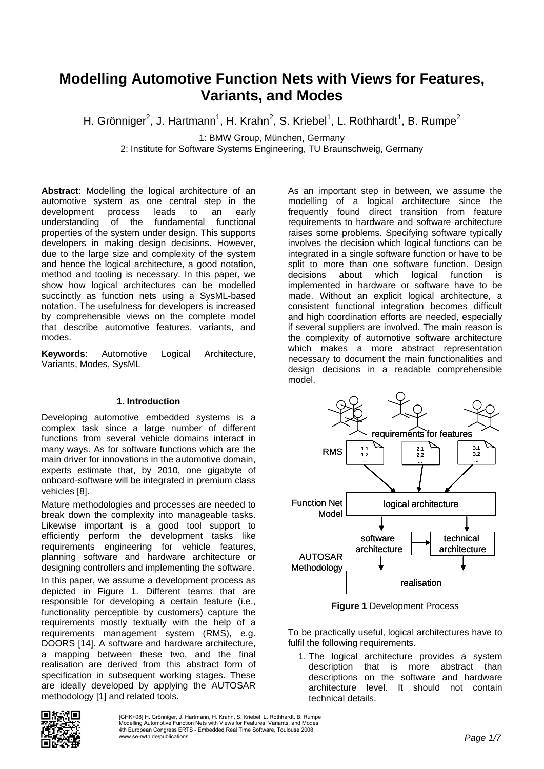# **Modelling Automotive Function Nets with Views for Features, Variants, and Modes**

H. Grönniger<sup>2</sup>, J. Hartmann<sup>1</sup>, H. Krahn<sup>2</sup>, S. Kriebel<sup>1</sup>, L. Rothhardt<sup>1</sup>, B. Rumpe<sup>2</sup>

1: BMW Group, München, Germany

2: Institute for Software Systems Engineering, TU Braunschweig, Germany

**Abstract**: Modelling the logical architecture of an automotive system as one central step in the development process leads to an early understanding of the fundamental functional properties of the system under design. This supports developers in making design decisions. However, due to the large size and complexity of the system and hence the logical architecture, a good notation, method and tooling is necessary. In this paper, we show how logical architectures can be modelled succinctly as function nets using a SysML-based notation. The usefulness for developers is increased by comprehensible views on the complete model that describe automotive features, variants, and modes.

**Keywords**: Automotive Logical Architecture, Variants, Modes, SysML

## **1. Introduction**

Developing automotive embedded systems is a complex task since a large number of different functions from several vehicle domains interact in many ways. As for software functions which are the main driver for innovations in the automotive domain, experts estimate that, by 2010, one gigabyte of onboard-software will be integrated in premium class vehicles [8].

Mature methodologies and processes are needed to break down the complexity into manageable tasks. Likewise important is a good tool support to efficiently perform the development tasks like requirements engineering for vehicle features, planning software and hardware architecture or designing controllers and implementing the software.

In this paper, we assume a development process as depicted in Figure 1. Different teams that are responsible for developing a certain feature (i.e., functionality perceptible by customers) capture the requirements mostly textually with the help of a requirements management system (RMS), e.g. DOORS [14]. A software and hardware architecture, a mapping between these two, and the final realisation are derived from this abstract form of specification in subsequent working stages. These are ideally developed by applying the AUTOSAR methodology [1] and related tools.

As an important step in between, we assume the modelling of a logical architecture since the frequently found direct transition from feature requirements to hardware and software architecture raises some problems. Specifying software typically involves the decision which logical functions can be integrated in a single software function or have to be split to more than one software function. Design decisions about which logical function is implemented in hardware or software have to be made. Without an explicit logical architecture, a consistent functional integration becomes difficult and high coordination efforts are needed, especially if several suppliers are involved. The main reason is the complexity of automotive software architecture which makes a more abstract representation necessary to document the main functionalities and design decisions in a readable comprehensible model.



**Figure 1** Development Process

To be practically useful, logical architectures have to fulfil the following requirements.

1. The logical architecture provides a system description that is more abstract than descriptions on the software and hardware architecture level. It should not contain technical details.

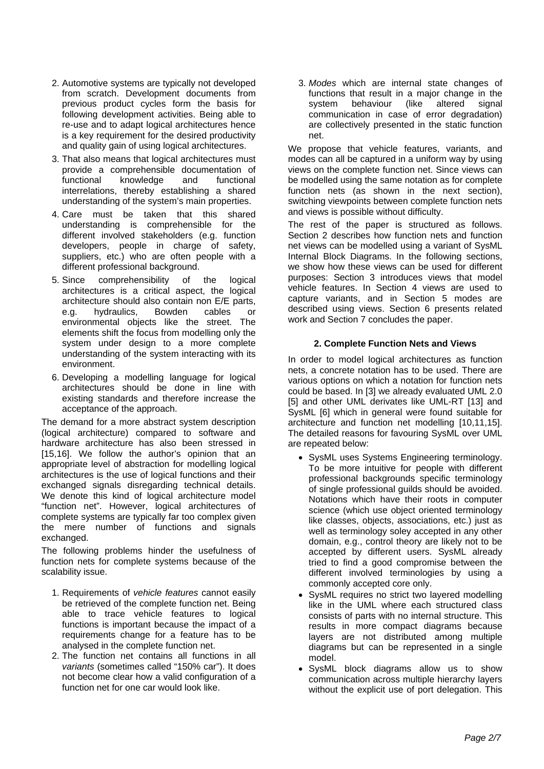- 2. Automotive systems are typically not developed from scratch. Development documents from previous product cycles form the basis for following development activities. Being able to re-use and to adapt logical architectures hence is a key requirement for the desired productivity and quality gain of using logical architectures.
- 3. That also means that logical architectures must provide a comprehensible documentation of functional knowledge and functional interrelations, thereby establishing a shared understanding of the system's main properties.
- 4. Care must be taken that this shared understanding is comprehensible for the different involved stakeholders (e.g. function developers, people in charge of safety, suppliers, etc.) who are often people with a different professional background.
- 5. Since comprehensibility of the logical architectures is a critical aspect, the logical architecture should also contain non E/E parts, e.g. hydraulics, Bowden cables or environmental objects like the street. The elements shift the focus from modelling only the system under design to a more complete understanding of the system interacting with its environment.
- 6. Developing a modelling language for logical architectures should be done in line with existing standards and therefore increase the acceptance of the approach.

The demand for a more abstract system description (logical architecture) compared to software and hardware architecture has also been stressed in [15,16]. We follow the author's opinion that an appropriate level of abstraction for modelling logical architectures is the use of logical functions and their exchanged signals disregarding technical details. We denote this kind of logical architecture model "function net". However, logical architectures of complete systems are typically far too complex given the mere number of functions and signals exchanged.

The following problems hinder the usefulness of function nets for complete systems because of the scalability issue.

- 1. Requirements of *vehicle features* cannot easily be retrieved of the complete function net. Being able to trace vehicle features to logical functions is important because the impact of a requirements change for a feature has to be analysed in the complete function net.
- 2. The function net contains all functions in all *variants* (sometimes called "150% car"). It does not become clear how a valid configuration of a function net for one car would look like.

3. *Modes* which are internal state changes of functions that result in a major change in the system behaviour (like altered signal system behaviour (like altered communication in case of error degradation) are collectively presented in the static function net.

We propose that vehicle features, variants, and modes can all be captured in a uniform way by using views on the complete function net. Since views can be modelled using the same notation as for complete function nets (as shown in the next section), switching viewpoints between complete function nets and views is possible without difficulty.

The rest of the paper is structured as follows. Section 2 describes how function nets and function net views can be modelled using a variant of SysML Internal Block Diagrams. In the following sections, we show how these views can be used for different purposes: Section 3 introduces views that model vehicle features. In Section 4 views are used to capture variants, and in Section 5 modes are described using views. Section 6 presents related work and Section 7 concludes the paper.

## **2. Complete Function Nets and Views**

In order to model logical architectures as function nets, a concrete notation has to be used. There are various options on which a notation for function nets could be based. In [3] we already evaluated UML 2.0 [5] and other UML derivates like UML-RT [13] and SysML [6] which in general were found suitable for architecture and function net modelling [10,11,15]. The detailed reasons for favouring SysML over UML are repeated below:

- SysML uses Systems Engineering terminology. To be more intuitive for people with different professional backgrounds specific terminology of single professional guilds should be avoided. Notations which have their roots in computer science (which use object oriented terminology like classes, objects, associations, etc.) just as well as terminology soley accepted in any other domain, e.g., control theory are likely not to be accepted by different users. SysML already tried to find a good compromise between the different involved terminologies by using a commonly accepted core only.
- SysML requires no strict two layered modelling like in the UML where each structured class consists of parts with no internal structure. This results in more compact diagrams because layers are not distributed among multiple diagrams but can be represented in a single model.
- SysML block diagrams allow us to show communication across multiple hierarchy layers without the explicit use of port delegation. This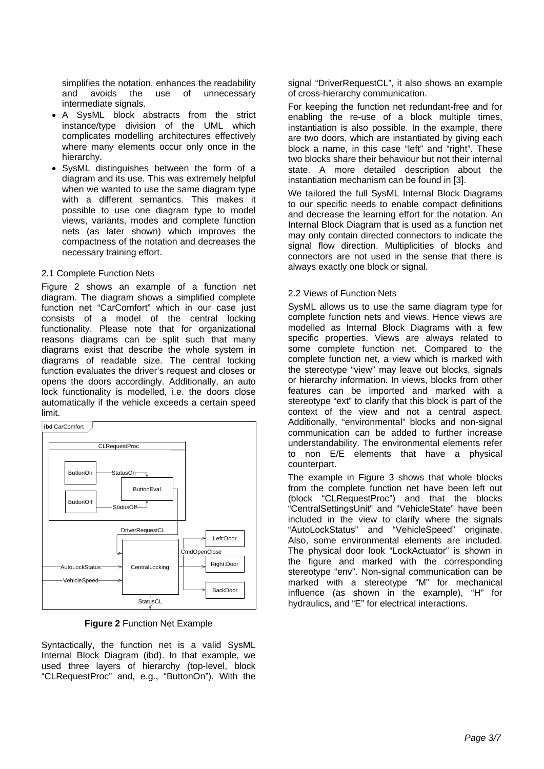simplifies the notation, enhances the readability and avoids the use of unnecessary intermediate signals.

- A SysML block abstracts from the strict instance/type division of the UML which complicates modelling architectures effectively where many elements occur only once in the hierarchy.
- SysML distinguishes between the form of a diagram and its use. This was extremely helpful when we wanted to use the same diagram type with a different semantics. This makes it possible to use one diagram type to model views, variants, modes and complete function nets (as later shown) which improves the compactness of the notation and decreases the necessary training effort.

## 2.1 Complete Function Nets

Figure 2 shows an example of a function net diagram. The diagram shows a simplified complete function net "CarComfort" which in our case just consists of a model of the central locking functionality. Please note that for organizational reasons diagrams can be split such that many diagrams exist that describe the whole system in diagrams of readable size. The central locking function evaluates the driver's request and closes or opens the doors accordingly. Additionally, an auto lock functionality is modelled, i.e. the doors close automatically if the vehicle exceeds a certain speed limit.



**Figure 2** Function Net Example

Syntactically, the function net is a valid SysML Internal Block Diagram (ibd). In that example, we used three layers of hierarchy (top-level, block "CLRequestProc" and, e.g., "ButtonOn"). With the signal "DriverRequestCL", it also shows an example of cross-hierarchy communication.

For keeping the function net redundant-free and for enabling the re-use of a block multiple times, instantiation is also possible. In the example, there are two doors, which are instantiated by giving each block a name, in this case "left" and "right". These two blocks share their behaviour but not their internal state. A more detailed description about the instantiation mechanism can be found in [3].

We tailored the full SysML Internal Block Diagrams to our specific needs to enable compact definitions and decrease the learning effort for the notation. An Internal Block Diagram that is used as a function net may only contain directed connectors to indicate the signal flow direction. Multiplicities of blocks and connectors are not used in the sense that there is always exactly one block or signal.

## 2.2 Views of Function Nets

SysML allows us to use the same diagram type for complete function nets and views. Hence views are modelled as Internal Block Diagrams with a few specific properties. Views are always related to some complete function net. Compared to the complete function net, a view which is marked with the stereotype "view" may leave out blocks, signals or hierarchy information. In views, blocks from other features can be imported and marked with a stereotype "ext" to clarify that this block is part of the context of the view and not a central aspect. Additionally, "environmental" blocks and non-signal communication can be added to further increase understandability. The environmental elements refer to non E/E elements that have a physical counterpart.

The example in Figure 3 shows that whole blocks from the complete function net have been left out (block "CLRequestProc") and that the blocks "CentralSettingsUnit" and "VehicleState" have been included in the view to clarify where the signals "AutoLockStatus" and "VehicleSpeed" originate. Also, some environmental elements are included. The physical door look "LockActuator" is shown in the figure and marked with the corresponding stereotype "env". Non-signal communication can be marked with a stereotype "M" for mechanical influence (as shown in the example), "H" for hydraulics, and "E" for electrical interactions.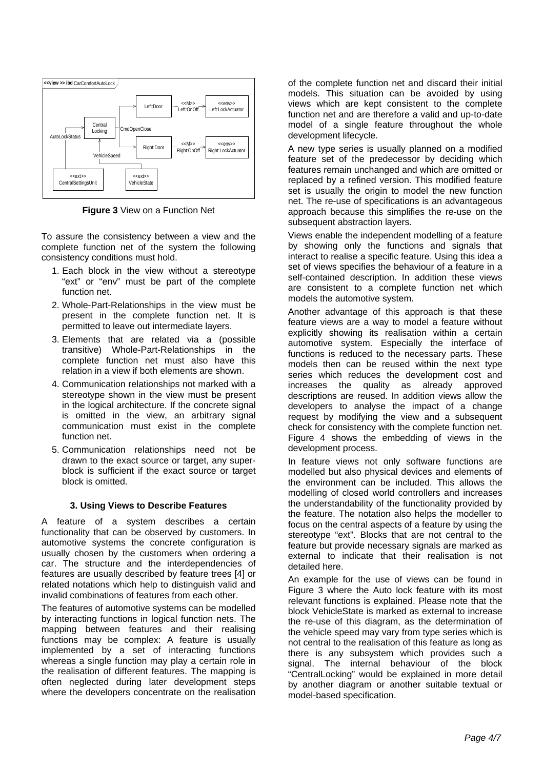

**Figure 3** View on a Function Net

To assure the consistency between a view and the complete function net of the system the following consistency conditions must hold.

- 1. Each block in the view without a stereotype "ext" or "env" must be part of the complete function net.
- 2. Whole-Part-Relationships in the view must be present in the complete function net. It is permitted to leave out intermediate layers.
- 3. Elements that are related via a (possible transitive) Whole-Part-Relationships in the complete function net must also have this relation in a view if both elements are shown.
- 4. Communication relationships not marked with a stereotype shown in the view must be present in the logical architecture. If the concrete signal is omitted in the view, an arbitrary signal communication must exist in the complete function net.
- 5. Communication relationships need not be drawn to the exact source or target, any superblock is sufficient if the exact source or target block is omitted.

## **3. Using Views to Describe Features**

A feature of a system describes a certain functionality that can be observed by customers. In automotive systems the concrete configuration is usually chosen by the customers when ordering a car. The structure and the interdependencies of features are usually described by feature trees [4] or related notations which help to distinguish valid and invalid combinations of features from each other.

The features of automotive systems can be modelled by interacting functions in logical function nets. The mapping between features and their realising functions may be complex: A feature is usually implemented by a set of interacting functions whereas a single function may play a certain role in the realisation of different features. The mapping is often neglected during later development steps where the developers concentrate on the realisation

of the complete function net and discard their initial models. This situation can be avoided by using views which are kept consistent to the complete function net and are therefore a valid and up-to-date model of a single feature throughout the whole development lifecycle.

A new type series is usually planned on a modified feature set of the predecessor by deciding which features remain unchanged and which are omitted or replaced by a refined version. This modified feature set is usually the origin to model the new function net. The re-use of specifications is an advantageous approach because this simplifies the re-use on the subsequent abstraction layers.

Views enable the independent modelling of a feature by showing only the functions and signals that interact to realise a specific feature. Using this idea a set of views specifies the behaviour of a feature in a self-contained description. In addition these views are consistent to a complete function net which models the automotive system.

Another advantage of this approach is that these feature views are a way to model a feature without explicitly showing its realisation within a certain automotive system. Especially the interface of functions is reduced to the necessary parts. These models then can be reused within the next type series which reduces the development cost and increases the quality as already approved descriptions are reused. In addition views allow the developers to analyse the impact of a change request by modifying the view and a subsequent check for consistency with the complete function net. Figure 4 shows the embedding of views in the development process.

In feature views not only software functions are modelled but also physical devices and elements of the environment can be included. This allows the modelling of closed world controllers and increases the understandability of the functionality provided by the feature. The notation also helps the modeller to focus on the central aspects of a feature by using the stereotype "ext". Blocks that are not central to the feature but provide necessary signals are marked as external to indicate that their realisation is not detailed here.

An example for the use of views can be found in Figure 3 where the Auto lock feature with its most relevant functions is explained. Please note that the block VehicleState is marked as external to increase the re-use of this diagram, as the determination of the vehicle speed may vary from type series which is not central to the realisation of this feature as long as there is any subsystem which provides such a signal. The internal behaviour of the block "CentralLocking" would be explained in more detail by another diagram or another suitable textual or model-based specification.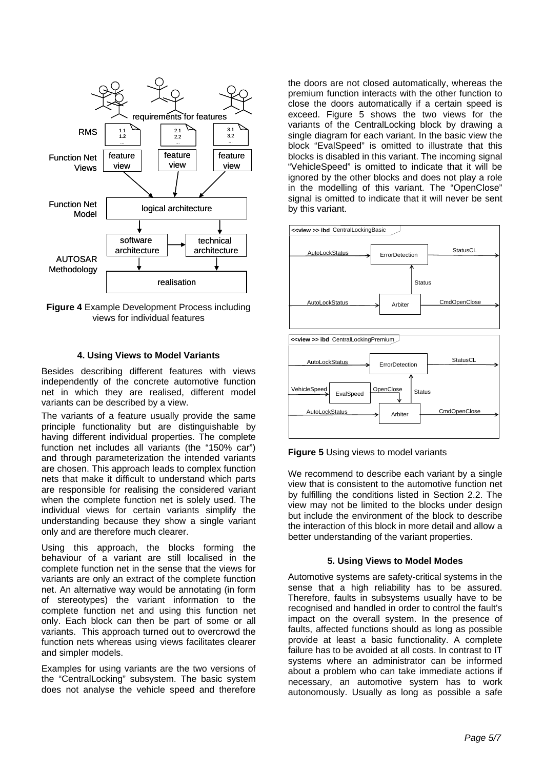

**Figure 4** Example Development Process including views for individual features

#### **4. Using Views to Model Variants**

Besides describing different features with views independently of the concrete automotive function net in which they are realised, different model variants can be described by a view.

The variants of a feature usually provide the same principle functionality but are distinguishable by having different individual properties. The complete function net includes all variants (the "150% car") and through parameterization the intended variants are chosen. This approach leads to complex function nets that make it difficult to understand which parts are responsible for realising the considered variant when the complete function net is solely used. The individual views for certain variants simplify the understanding because they show a single variant only and are therefore much clearer.

Using this approach, the blocks forming the behaviour of a variant are still localised in the complete function net in the sense that the views for variants are only an extract of the complete function net. An alternative way would be annotating (in form of stereotypes) the variant information to the complete function net and using this function net only. Each block can then be part of some or all variants. This approach turned out to overcrowd the function nets whereas using views facilitates clearer and simpler models.

Examples for using variants are the two versions of the "CentralLocking" subsystem. The basic system does not analyse the vehicle speed and therefore

the doors are not closed automatically, whereas the premium function interacts with the other function to close the doors automatically if a certain speed is exceed. Figure 5 shows the two views for the variants of the CentralLocking block by drawing a single diagram for each variant. In the basic view the block "EvalSpeed" is omitted to illustrate that this blocks is disabled in this variant. The incoming signal "VehicleSpeed" is omitted to indicate that it will be ignored by the other blocks and does not play a role in the modelling of this variant. The "OpenClose" signal is omitted to indicate that it will never be sent by this variant.





We recommend to describe each variant by a single view that is consistent to the automotive function net by fulfilling the conditions listed in Section 2.2. The view may not be limited to the blocks under design but include the environment of the block to describe the interaction of this block in more detail and allow a better understanding of the variant properties.

#### **5. Using Views to Model Modes**

Automotive systems are safety-critical systems in the sense that a high reliability has to be assured. Therefore, faults in subsystems usually have to be recognised and handled in order to control the fault's impact on the overall system. In the presence of faults, affected functions should as long as possible provide at least a basic functionality. A complete failure has to be avoided at all costs. In contrast to IT systems where an administrator can be informed about a problem who can take immediate actions if necessary, an automotive system has to work autonomously. Usually as long as possible a safe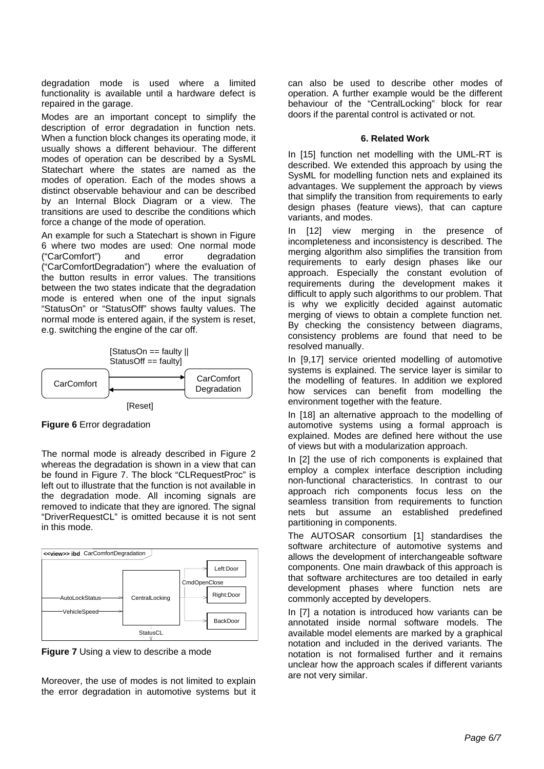degradation mode is used where a limited functionality is available until a hardware defect is repaired in the garage.

Modes are an important concept to simplify the description of error degradation in function nets. When a function block changes its operating mode, it usually shows a different behaviour. The different modes of operation can be described by a SysML Statechart where the states are named as the modes of operation. Each of the modes shows a distinct observable behaviour and can be described by an Internal Block Diagram or a view. The transitions are used to describe the conditions which force a change of the mode of operation.

An example for such a Statechart is shown in Figure 6 where two modes are used: One normal mode ("CarComfort") and error degradation ("CarComfortDegradation") where the evaluation of the button results in error values. The transitions between the two states indicate that the degradation mode is entered when one of the input signals "StatusOn" or "StatusOff" shows faulty values. The normal mode is entered again, if the system is reset, e.g. switching the engine of the car off.



**Figure 6** Error degradation

The normal mode is already described in Figure 2 whereas the degradation is shown in a view that can be found in Figure 7. The block "CLRequestProc" is left out to illustrate that the function is not available in the degradation mode. All incoming signals are removed to indicate that they are ignored. The signal "DriverRequestCL" is omitted because it is not sent in this mode.



**Figure 7** Using a view to describe a mode

Moreover, the use of modes is not limited to explain the error degradation in automotive systems but it can also be used to describe other modes of operation. A further example would be the different behaviour of the "CentralLocking" block for rear doors if the parental control is activated or not.

## **6. Related Work**

In [15] function net modelling with the UML-RT is described. We extended this approach by using the SysML for modelling function nets and explained its advantages. We supplement the approach by views that simplify the transition from requirements to early design phases (feature views), that can capture variants, and modes.

In [12] view merging in the presence of incompleteness and inconsistency is described. The merging algorithm also simplifies the transition from requirements to early design phases like our approach. Especially the constant evolution of requirements during the development makes it difficult to apply such algorithms to our problem. That is why we explicitly decided against automatic merging of views to obtain a complete function net. By checking the consistency between diagrams, consistency problems are found that need to be resolved manually.

In [9,17] service oriented modelling of automotive systems is explained. The service layer is similar to the modelling of features. In addition we explored how services can benefit from modelling the environment together with the feature.

In [18] an alternative approach to the modelling of automotive systems using a formal approach is explained. Modes are defined here without the use of views but with a modularization approach.

In [2] the use of rich components is explained that employ a complex interface description including non-functional characteristics. In contrast to our approach rich components focus less on the seamless transition from requirements to function nets but assume an established predefined partitioning in components.

The AUTOSAR consortium [1] standardises the software architecture of automotive systems and allows the development of interchangeable software components. One main drawback of this approach is that software architectures are too detailed in early development phases where function nets are commonly accepted by developers.

In [7] a notation is introduced how variants can be annotated inside normal software models. The available model elements are marked by a graphical notation and included in the derived variants. The notation is not formalised further and it remains unclear how the approach scales if different variants are not very similar.